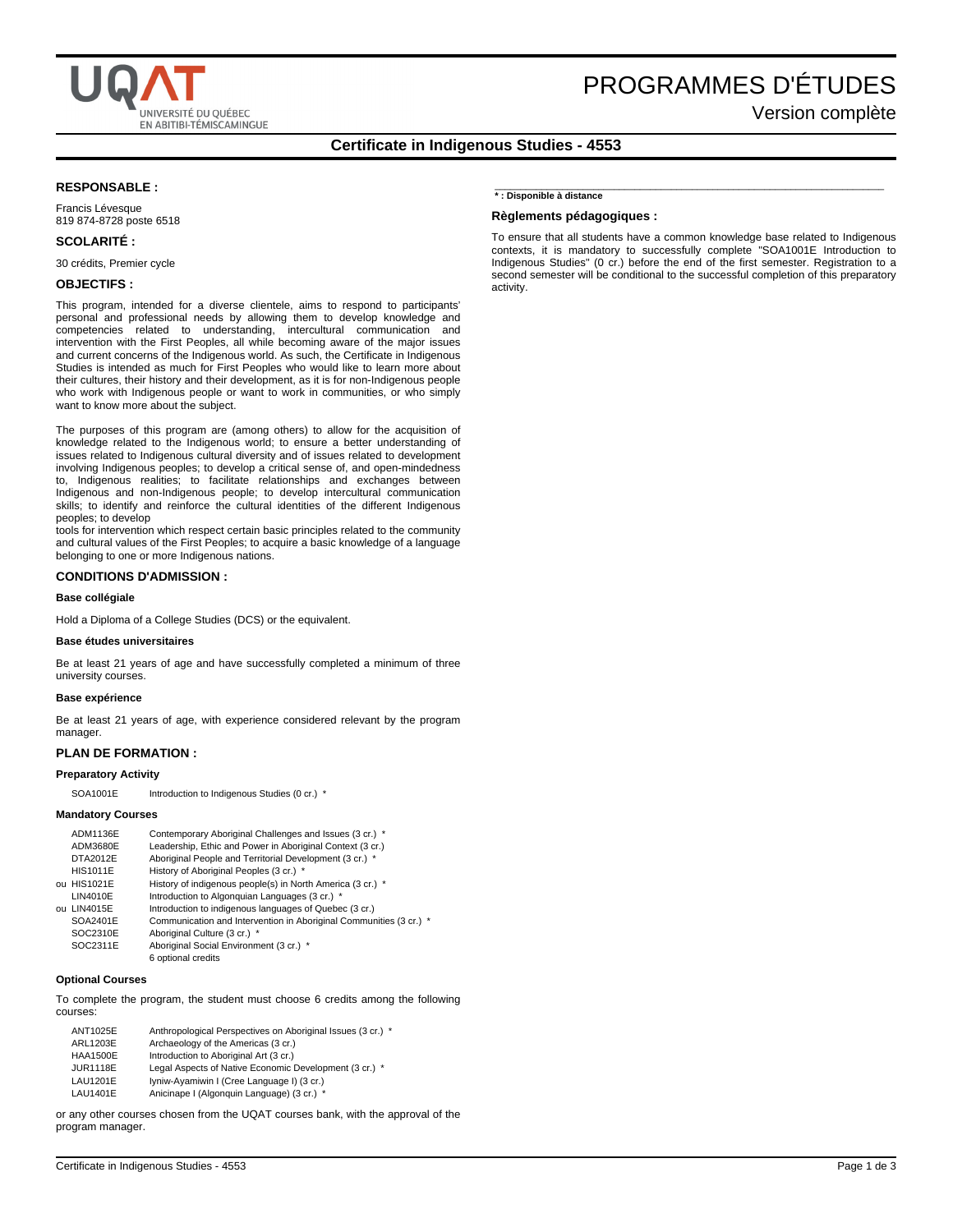

# PROGRAMMES D'ÉTUDES

Version complète

# **Certificate in Indigenous Studies - 4553**

# **RESPONSABLE :**

Francis Lévesque 819 874-8728 poste 6518

# **SCOLARITÉ :**

30 crédits, Premier cycle

## **OBJECTIFS :**

This program, intended for a diverse clientele, aims to respond to participants' personal and professional needs by allowing them to develop knowledge and competencies related to understanding, intercultural communication and intervention with the First Peoples, all while becoming aware of the major issues and current concerns of the Indigenous world. As such, the Certificate in Indigenous Studies is intended as much for First Peoples who would like to learn more about their cultures, their history and their development, as it is for non-Indigenous people who work with Indigenous people or want to work in communities, or who simply want to know more about the subject.

The purposes of this program are (among others) to allow for the acquisition of knowledge related to the Indigenous world; to ensure a better understanding of issues related to Indigenous cultural diversity and of issues related to development involving Indigenous peoples; to develop a critical sense of, and open-mindedness to, Indigenous realities; to facilitate relationships and exchanges between Indigenous and non-Indigenous people; to develop intercultural communication skills; to identify and reinforce the cultural identities of the different Indigenous peoples; to develop

tools for intervention which respect certain basic principles related to the community and cultural values of the First Peoples; to acquire a basic knowledge of a language belonging to one or more Indigenous nations.

## **CONDITIONS D'ADMISSION :**

#### **Base collégiale**

Hold a Diploma of a College Studies (DCS) or the equivalent.

## **Base études universitaires**

Be at least 21 years of age and have successfully completed a minimum of three university courses.

#### **Base expérience**

Be at least 21 years of age, with experience considered relevant by the program manager.

## **PLAN DE FORMATION :**

## **Preparatory Activity**

SOA1001E Introduction to Indigenous Studies (0 cr.) \*

#### **Mandatory Courses**

| ADM1136E        | Contemporary Aboriginal Challenges and Issues (3 cr.) *            |
|-----------------|--------------------------------------------------------------------|
| ADM3680E        | Leadership, Ethic and Power in Aboriginal Context (3 cr.)          |
| DTA2012E        | Aboriginal People and Territorial Development (3 cr.) *            |
| <b>HIS1011E</b> | History of Aboriginal Peoples (3 cr.) *                            |
| ou HIS1021E     | History of indigenous people(s) in North America (3 cr.) *         |
| LIN4010E        | Introduction to Algonquian Languages (3 cr.) *                     |
| ou LIN4015E     | Introduction to indigenous languages of Quebec (3 cr.)             |
| SOA2401E        | Communication and Intervention in Aboriginal Communities (3 cr.) * |
| SOC2310E        | Aboriginal Culture (3 cr.) *                                       |
| SOC2311E        | Aboriginal Social Environment (3 cr.) *                            |
|                 | 6 optional credits                                                 |

#### **Optional Courses**

To complete the program, the student must choose 6 credits among the following courses:

| <b>ANT1025E</b> | Anthropological Perspectives on Aboriginal Issues (3 cr.) * |
|-----------------|-------------------------------------------------------------|
| <b>ARL1203E</b> | Archaeology of the Americas (3 cr.)                         |
| <b>HAA1500E</b> | Introduction to Aboriginal Art (3 cr.)                      |
| <b>JUR1118E</b> | Legal Aspects of Native Economic Development (3 cr.) *      |
| LAU1201E        | Iyniw-Ayamiwin I (Cree Language I) (3 cr.)                  |
| LAU1401E        | Anicinape I (Algonquin Language) (3 cr.) *                  |

or any other courses chosen from the UQAT courses bank, with the approval of the program manager.

## **\* : Disponible à distance**

## **Règlements pédagogiques :**

To ensure that all students have a common knowledge base related to Indigenous contexts, it is mandatory to successfully complete "SOA1001E Introduction to Indigenous Studies" (0 cr.) before the end of the first semester. Registration to a second semester will be conditional to the successful completion of this preparatory activity.

\_\_\_\_\_\_\_\_\_\_\_\_\_\_\_\_\_\_\_\_\_\_\_\_\_\_\_\_\_\_\_\_\_\_\_\_\_\_\_\_\_\_\_\_\_\_\_\_\_\_\_\_\_\_\_\_\_\_\_\_\_\_\_\_\_\_\_\_\_\_\_\_\_\_\_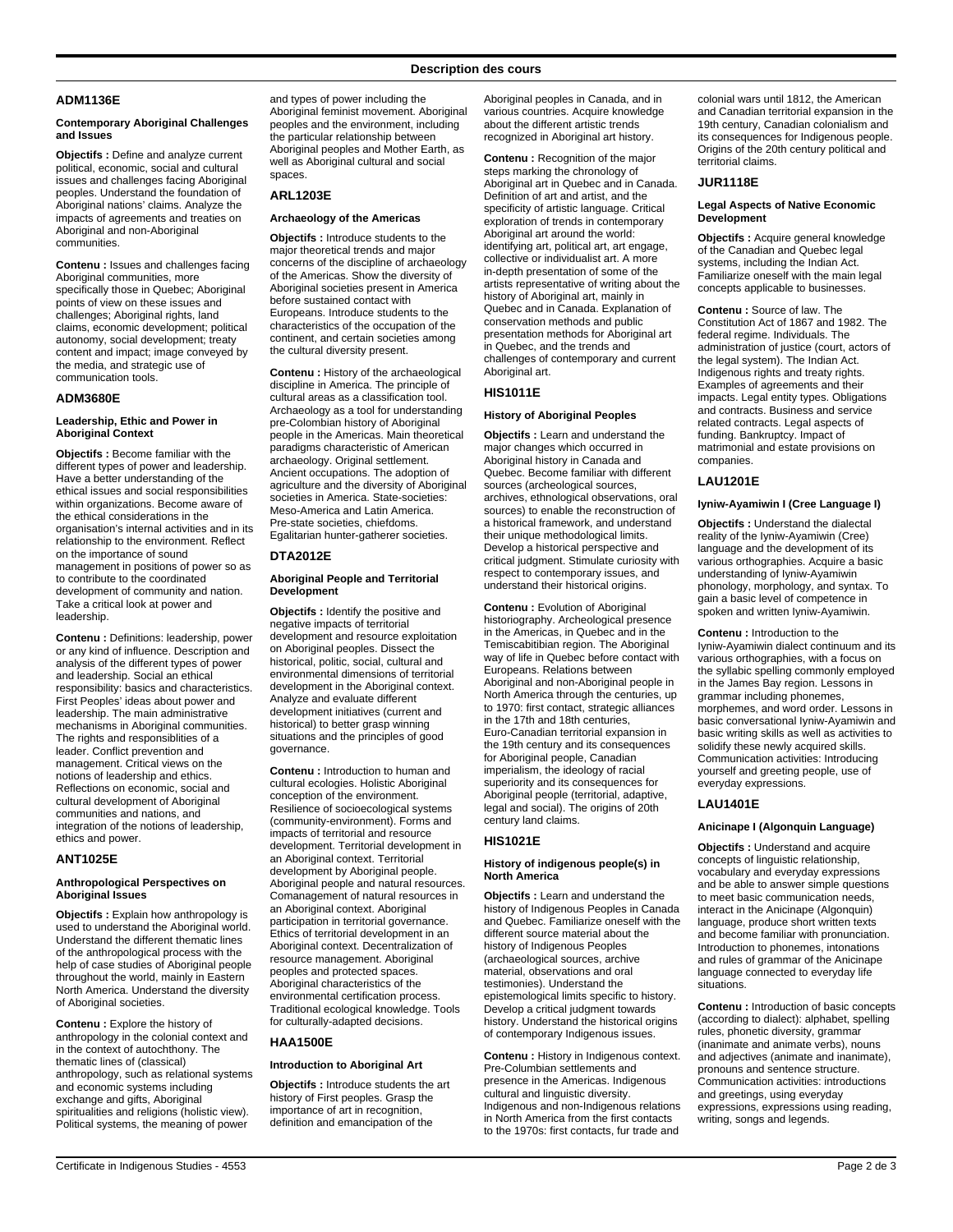## **ADM1136E**

#### **Contemporary Aboriginal Challenges and Issues**

**Objectifs :** Define and analyze current political, economic, social and cultural issues and challenges facing Aboriginal peoples. Understand the foundation of .<br>Aboriginal nations' claims. Analyze the impacts of agreements and treaties on Aboriginal and non-Aboriginal communities.

**Contenu :** Issues and challenges facing Aboriginal communities, more specifically those in Quebec; Aboriginal points of view on these issues and challenges; Aboriginal rights, land claims, economic development; political autonomy, social development; treaty content and impact; image conveyed by the media, and strategic use of communication tools.

## **ADM3680E**

## **Leadership, Ethic and Power in Aboriginal Context**

**Objectifs :** Become familiar with the different types of power and leadership. Have a better understanding of the ethical issues and social responsibilities within organizations. Become aware of the ethical considerations in the organisation's internal activities and in its relationship to the environment. Reflect on the importance of sound management in positions of power so as to contribute to the coordinated development of community and nation. Take a critical look at power and leadership.

**Contenu :** Definitions: leadership, power or any kind of influence. Description and analysis of the different types of power and leadership. Social an ethical responsibility: basics and characteristics. First Peoples' ideas about power and leadership. The main administrative mechanisms in Aboriginal communities. The rights and responsiblities of a leader. Conflict prevention and management. Critical views on the notions of leadership and ethics. Reflections on economic, social and cultural development of Aboriginal communities and nations, and integration of the notions of leadership, ethics and power.

## **ANT1025E**

#### **Anthropological Perspectives on Aboriginal Issues**

**Objectifs :** Explain how anthropology is used to understand the Aboriginal world. Understand the different thematic lines of the anthropological process with the help of case studies of Aboriginal people throughout the world, mainly in Eastern North America. Understand the diversity of Aboriginal societies.

**Contenu :** Explore the history of anthropology in the colonial context and in the context of autochthony. The thematic lines of (classical) anthropology, such as relational systems and economic systems including exchange and gifts, Aboriginal spiritualities and religions (holistic view). Political systems, the meaning of power

and types of power including the Aboriginal feminist movement. Aboriginal peoples and the environment, including the particular relationship between Aboriginal peoples and Mother Earth, as well as Aboriginal cultural and social spaces.

# **ARL1203E**

## **Archaeology of the Americas**

**Objectifs :** Introduce students to the major theoretical trends and major concerns of the discipline of archaeology of the Americas. Show the diversity of Aboriginal societies present in America before sustained contact with Europeans. Introduce students to the characteristics of the occupation of the continent, and certain societies among the cultural diversity present.

**Contenu :** History of the archaeological discipline in America. The principle of cultural areas as a classification tool. Archaeology as a tool for understanding pre-Colombian history of Aboriginal people in the Americas. Main theoretical paradigms characteristic of American archaeology. Original settlement. Ancient occupations. The adoption of agriculture and the diversity of Aboriginal societies in America. State-societies: Meso-America and Latin America. Pre-state societies, chiefdoms. Egalitarian hunter-gatherer societies.

## **DTA2012E**

## **Aboriginal People and Territorial Development**

**Objectifs :** Identify the positive and negative impacts of territorial development and resource exploitation on Aboriginal peoples. Dissect the historical, politic, social, cultural and environmental dimensions of territorial development in the Aboriginal context. Analyze and evaluate different development initiatives (current and historical) to better grasp winning situations and the principles of good governance.

**Contenu :** Introduction to human and cultural ecologies. Holistic Aboriginal conception of the environment. Resilience of socioecological systems (community-environment). Forms and impacts of territorial and resource development. Territorial development in an Aboriginal context. Territorial development by Aboriginal people. Aboriginal people and natural resources. Comanagement of natural resources in an Aboriginal context. Aboriginal participation in territorial governance. Ethics of territorial development in an Aboriginal context. Decentralization of resource management. Aboriginal peoples and protected spaces. Aboriginal characteristics of the environmental certification process. Traditional ecological knowledge. Tools for culturally-adapted decisions.

# **HAA1500E**

#### **Introduction to Aboriginal Art**

**Objectifs :** Introduce students the art history of First peoples. Grasp the importance of art in recognition, definition and emancipation of the

Aboriginal peoples in Canada, and in various countries. Acquire knowledge about the different artistic trends recognized in Aboriginal art history.

**Contenu :** Recognition of the major steps marking the chronology of Aboriginal art in Quebec and in Canada. Definition of art and artist, and the specificity of artistic language. Critical exploration of trends in contemporary Aboriginal art around the world: identifying art, political art, art engage, collective or individualist art. A more in-depth presentation of some of the artists representative of writing about the history of Aboriginal art, mainly in Quebec and in Canada. Explanation of conservation methods and public presentation methods for Aboriginal art in Quebec, and the trends and challenges of contemporary and current Aboriginal art.

## **HIS1011E**

## **History of Aboriginal Peoples**

**Objectifs :** Learn and understand the major changes which occurred in Aboriginal history in Canada and Quebec. Become familiar with different sources (archeological sources, archives, ethnological observations, oral sources) to enable the reconstruction of a historical framework, and understand their unique methodological limits. Develop a historical perspective and critical judgment. Stimulate curiosity with respect to contemporary issues, and understand their historical origins.

**Contenu :** Evolution of Aboriginal historiography. Archeological presence in the Americas, in Quebec and in the Temiscabitibian region. The Aboriginal way of life in Quebec before contact with Europeans. Relations between Aboriginal and non-Aboriginal people in North America through the centuries, up to 1970: first contact, strategic alliances in the 17th and 18th centuries, Euro-Canadian territorial expansion in the 19th century and its consequences for Aboriginal people, Canadian imperialism, the ideology of racial superiority and its consequences for Aboriginal people (territorial, adaptive, legal and social). The origins of 20th century land claims.

## **HIS1021E**

#### **History of indigenous people(s) in North America**

**Objectifs :** Learn and understand the history of Indigenous Peoples in Canada and Quebec. Familiarize oneself with the different source material about the history of Indigenous Peoples (archaeological sources, archive material, observations and oral testimonies). Understand the epistemological limits specific to history. Develop a critical judgment towards history. Understand the historical origins of contemporary Indigenous issues.

**Contenu :** History in Indigenous context. Pre-Columbian settlements and presence in the Americas. Indigenous cultural and linguistic diversity. Indigenous and non-Indigenous relations in North America from the first contacts to the 1970s: first contacts, fur trade and

colonial wars until 1812, the American and Canadian territorial expansion in the 19th century, Canadian colonialism and its consequences for Indigenous people. Origins of the 20th century political and territorial claims.

#### **JUR1118E**

## **Legal Aspects of Native Economic Development**

**Objectifs :** Acquire general knowledge of the Canadian and Quebec legal systems, including the Indian Act. Familiarize oneself with the main legal concepts applicable to businesses.

**Contenu :** Source of law. The Constitution Act of 1867 and 1982. The federal regime. Individuals. The administration of justice (court, actors of the legal system). The Indian Act. Indigenous rights and treaty rights. Examples of agreements and their impacts. Legal entity types. Obligations and contracts. Business and service related contracts. Legal aspects of funding. Bankruptcy. Impact of matrimonial and estate provisions on companies.

## **LAU1201E**

#### **Iyniw-Ayamiwin I (Cree Language I)**

**Objectifs :** Understand the dialectal reality of the Iyniw-Ayamiwin (Cree) language and the development of its various orthographies. Acquire a basic understanding of Iyniw-Ayamiwin phonology, morphology, and syntax. To gain a basic level of competence in spoken and written Iyniw-Ayamiwin.

**Contenu :** Introduction to the Iyniw-Ayamiwin dialect continuum and its various orthographies, with a focus on the syllabic spelling commonly employed in the James Bay region. Lessons in grammar including phonemes, morphemes, and word order. Lessons in basic conversational Iyniw-Ayamiwin and basic writing skills as well as activities to solidify these newly acquired skills. Communication activities: Introducing yourself and greeting people, use of everyday expressions.

## **LAU1401E**

#### **Anicinape I (Algonquin Language)**

**Objectifs :** Understand and acquire concepts of linguistic relationship, vocabulary and everyday expressions and be able to answer simple questions to meet basic communication needs, interact in the Anicinape (Algonquin) language, produce short written texts and become familiar with pronunciation. Introduction to phonemes, intonations and rules of grammar of the Anicinape language connected to everyday life situations.

**Contenu :** Introduction of basic concepts (according to dialect): alphabet, spelling rules, phonetic diversity, grammar (inanimate and animate verbs), nouns and adjectives (animate and inanimate), pronouns and sentence structure. Communication activities: introductions and greetings, using everyday expressions, expressions using reading, writing, songs and legends.